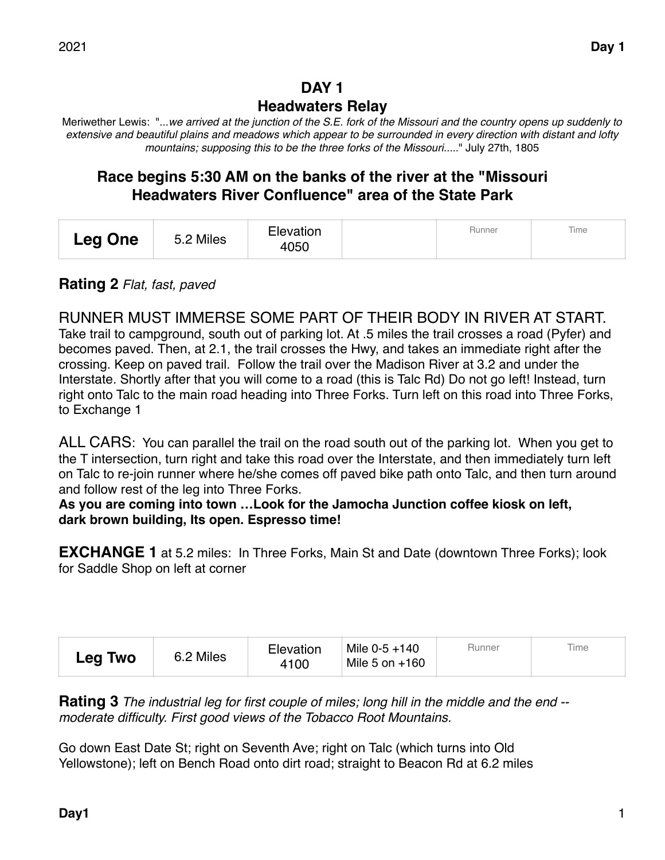# **DAY 1**

## **Headwaters Relay**

Meriwether Lewis: "...*we arrived at the junction of the S.E. fork of the Missouri and the country opens up suddenly to extensive and beautiful plains and meadows which appear to be surrounded in every direction with distant and lofty mountains; supposing this to be the three forks of the Missouri....*." July 27th, 1805

## **Race begins 5:30 AM on the banks of the river at the "Missouri Headwaters River Confluence" area of the State Park**

| ∟eg One | 5.2 Miles | Elevation<br>4050 |  | ⊣unner | Time |
|---------|-----------|-------------------|--|--------|------|
|---------|-----------|-------------------|--|--------|------|

#### **Rating 2** *Flat, fast, paved*

## RUNNER MUST IMMERSE SOME PART OF THEIR BODY IN RIVER AT START.

Take trail to campground, south out of parking lot. At .5 miles the trail crosses a road (Pyfer) and becomes paved. Then, at 2.1, the trail crosses the Hwy, and takes an immediate right after the crossing. Keep on paved trail. Follow the trail over the Madison River at 3.2 and under the Interstate. Shortly after that you will come to a road (this is Talc Rd) Do not go left! Instead, turn right onto Talc to the main road heading into Three Forks. Turn left on this road into Three Forks, to Exchange 1

ALL CARS: You can parallel the trail on the road south out of the parking lot. When you get to the T intersection, turn right and take this road over the Interstate, and then immediately turn left on Talc to re-join runner where he/she comes off paved bike path onto Talc, and then turn around and follow rest of the leg into Three Forks.

**As you are coming into town …Look for the Jamocha Junction coffee kiosk on left, dark brown building, Its open. Espresso time!** 

**EXCHANGE 1** at 5.2 miles: In Three Forks, Main St and Date (downtown Three Forks); look for Saddle Shop on left at corner

| <b>Leg Two</b> | 6.2 Miles | Elevation<br>4100 | Mile $0-5 + 140$<br>Mile 5 on $+160$ | Runner | Time |
|----------------|-----------|-------------------|--------------------------------------|--------|------|
|----------------|-----------|-------------------|--------------------------------------|--------|------|

**Rating 3** *The industrial leg for first couple of miles; long hill in the middle and the end - moderate difficulty. First good views of the Tobacco Root Mountains.*

Go down East Date St; right on Seventh Ave; right on Talc (which turns into Old Yellowstone); left on Bench Road onto dirt road; straight to Beacon Rd at 6.2 miles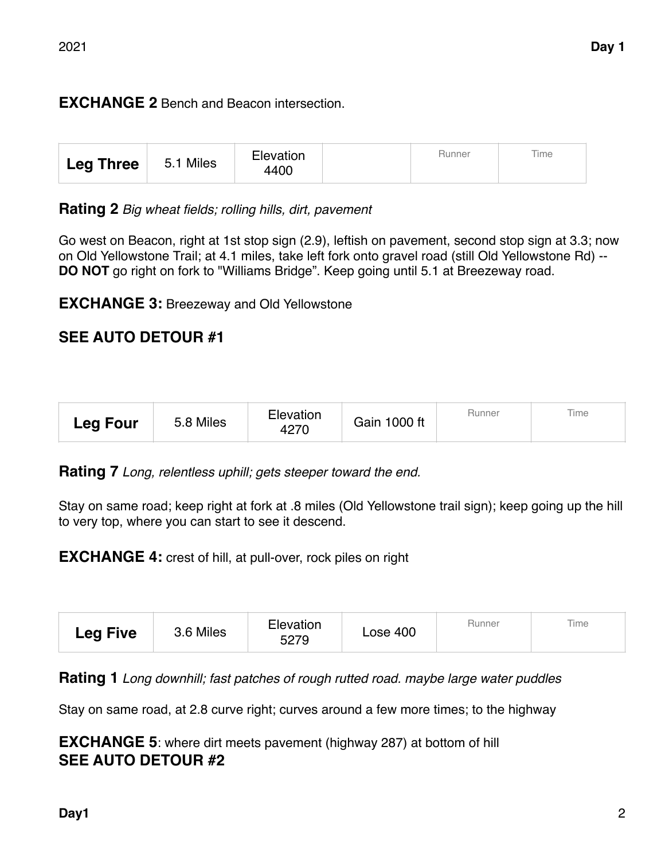## **EXCHANGE 2** Bench and Beacon intersection.

| Leg Three | 5.1 Miles | Elevation<br>4400 |  | <b>Hunner</b> | Time |
|-----------|-----------|-------------------|--|---------------|------|
|-----------|-----------|-------------------|--|---------------|------|

**Rating 2** *Big wheat fields; rolling hills, dirt, pavement* 

Go west on Beacon, right at 1st stop sign (2.9), leftish on pavement, second stop sign at 3.3; now on Old Yellowstone Trail; at 4.1 miles, take left fork onto gravel road (still Old Yellowstone Rd) -- **DO NOT** go right on fork to "Williams Bridge". Keep going until 5.1 at Breezeway road.

**EXCHANGE 3:** Breezeway and Old Yellowstone

# **SEE AUTO DETOUR #1**

| <b>Leg Four</b> | 5.8 Miles | Elevation<br>4270 | Gain 1000 ft | Hunner | Time |
|-----------------|-----------|-------------------|--------------|--------|------|
|-----------------|-----------|-------------------|--------------|--------|------|

**Rating 7** *Long, relentless uphill; gets steeper toward the end.* 

Stay on same road; keep right at fork at .8 miles (Old Yellowstone trail sign); keep going up the hill to very top, where you can start to see it descend.

**EXCHANGE 4:** crest of hill, at pull-over, rock piles on right

| <b>Leg Five</b> | 3.6 Miles | Elevation<br>5279 | Lose 400 | Runner | Time |
|-----------------|-----------|-------------------|----------|--------|------|
|-----------------|-----------|-------------------|----------|--------|------|

**Rating 1** *Long downhill; fast patches of rough rutted road. maybe large water puddles*

Stay on same road, at 2.8 curve right; curves around a few more times; to the highway

**EXCHANGE 5**: where dirt meets pavement (highway 287) at bottom of hill **SEE AUTO DETOUR #2**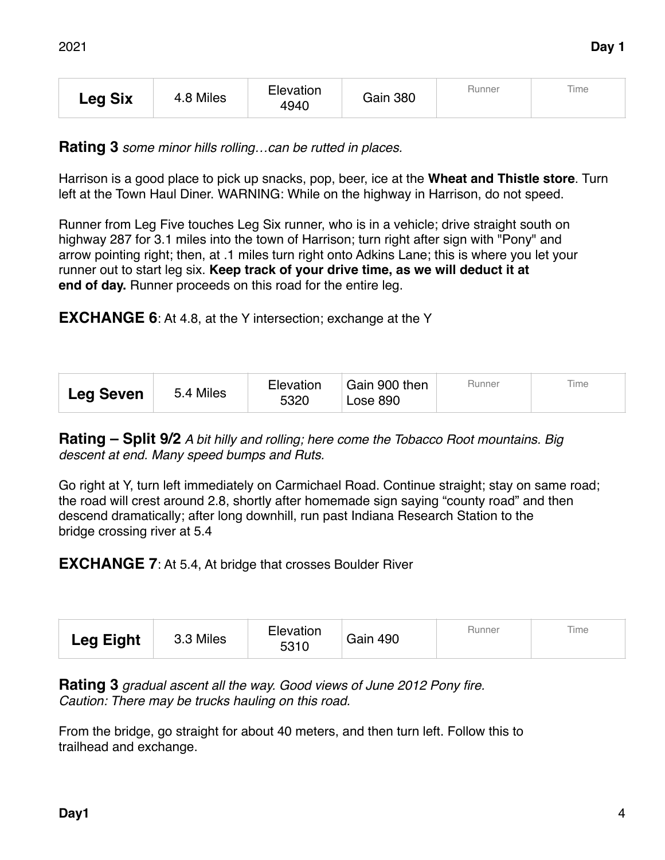| <b>Leg Six</b> | 4.8 Miles | Elevation<br>4940 | Gain 380 | Runner | Time |
|----------------|-----------|-------------------|----------|--------|------|
|----------------|-----------|-------------------|----------|--------|------|

**Rating 3** *some minor hills rolling…can be rutted in places.* 

Harrison is a good place to pick up snacks, pop, beer, ice at the **Wheat and Thistle store**. Turn left at the Town Haul Diner. WARNING: While on the highway in Harrison, do not speed.

Runner from Leg Five touches Leg Six runner, who is in a vehicle; drive straight south on highway 287 for 3.1 miles into the town of Harrison; turn right after sign with "Pony" and arrow pointing right; then, at .1 miles turn right onto Adkins Lane; this is where you let your runner out to start leg six. **Keep track of your drive time, as we will deduct it at end of day.** Runner proceeds on this road for the entire leg.

**EXCHANGE 6**: At 4.8, at the Y intersection; exchange at the Y

| <b>Leg Seven</b> | 5.4 Miles | Elevation<br>5320 | Gain 900 then<br>Lose 890 | Hunner | lme |
|------------------|-----------|-------------------|---------------------------|--------|-----|
|------------------|-----------|-------------------|---------------------------|--------|-----|

**Rating – Split 9/2** *A bit hilly and rolling; here come the Tobacco Root mountains. Big descent at end. Many speed bumps and Ruts.*

Go right at Y, turn left immediately on Carmichael Road. Continue straight; stay on same road; the road will crest around 2.8, shortly after homemade sign saying "county road" and then descend dramatically; after long downhill, run past Indiana Research Station to the bridge crossing river at 5.4

**EXCHANGE 7**: At 5.4, At bridge that crosses Boulder River

| <b>Leg Eight</b> | 3.3 Miles | Elevation<br>5310 | Gain 490 | Runner | Time |
|------------------|-----------|-------------------|----------|--------|------|
|------------------|-----------|-------------------|----------|--------|------|

**Rating 3** *gradual ascent all the way. Good views of June 2012 Pony fire. Caution: There may be trucks hauling on this road.* 

From the bridge, go straight for about 40 meters, and then turn left. Follow this to trailhead and exchange.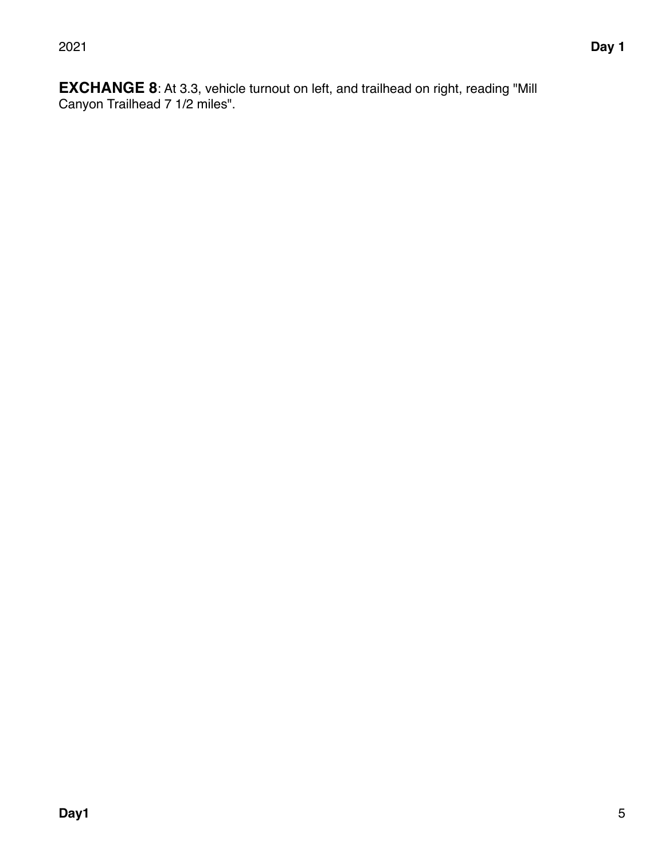**EXCHANGE 8**: At 3.3, vehicle turnout on left, and trailhead on right, reading "Mill Canyon Trailhead 7 1/2 miles".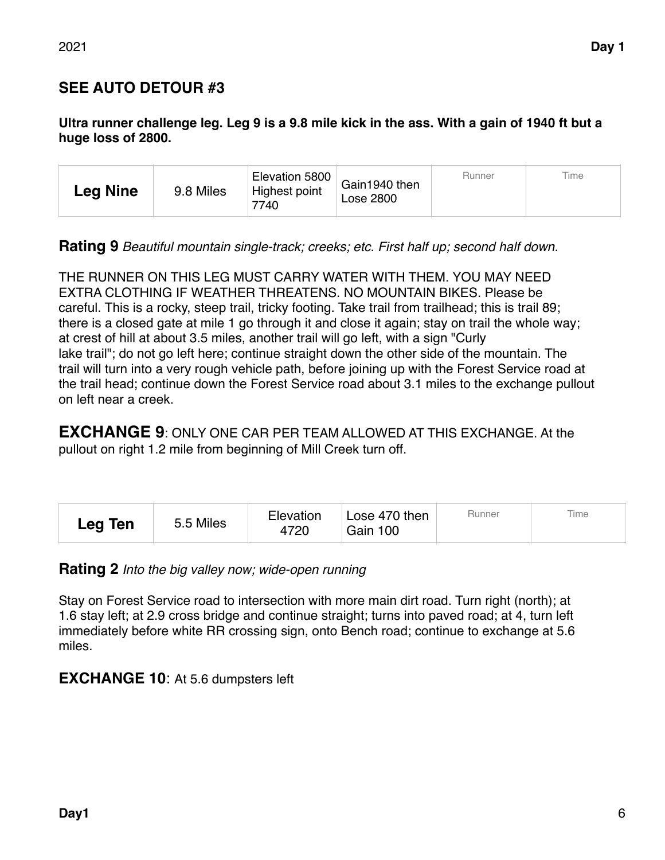# **SEE AUTO DETOUR #3**

**Ultra runner challenge leg. Leg 9 is a 9.8 mile kick in the ass. With a gain of 1940 ft but a huge loss of 2800.** 

| <b>Leg Nine</b> | 9.8 Miles | Elevation 5800<br>Highest point<br>7740 | Gain1940 then<br>Lose 2800 | Runner | Time |
|-----------------|-----------|-----------------------------------------|----------------------------|--------|------|
|-----------------|-----------|-----------------------------------------|----------------------------|--------|------|

**Rating 9** *Beautiful mountain single-track; creeks; etc. First half up; second half down.*

THE RUNNER ON THIS LEG MUST CARRY WATER WITH THEM. YOU MAY NEED EXTRA CLOTHING IF WEATHER THREATENS. NO MOUNTAIN BIKES. Please be careful. This is a rocky, steep trail, tricky footing. Take trail from trailhead; this is trail 89; there is a closed gate at mile 1 go through it and close it again; stay on trail the whole way; at crest of hill at about 3.5 miles, another trail will go left, with a sign "Curly lake trail"; do not go left here; continue straight down the other side of the mountain. The trail will turn into a very rough vehicle path, before joining up with the Forest Service road at the trail head; continue down the Forest Service road about 3.1 miles to the exchange pullout on left near a creek.

**EXCHANGE 9**: ONLY ONE CAR PER TEAM ALLOWED AT THIS EXCHANGE. At the pullout on right 1.2 mile from beginning of Mill Creek turn off.

| <b>Leg Ten</b> | 5.5 Miles | Elevation<br>4720 | Lose 470 then<br>Gain 100 | Hunner | Time |
|----------------|-----------|-------------------|---------------------------|--------|------|
|----------------|-----------|-------------------|---------------------------|--------|------|

**Rating 2** *Into the big valley now; wide-open running* 

Stay on Forest Service road to intersection with more main dirt road. Turn right (north); at 1.6 stay left; at 2.9 cross bridge and continue straight; turns into paved road; at 4, turn left immediately before white RR crossing sign, onto Bench road; continue to exchange at 5.6 miles.

**EXCHANGE 10**: At 5.6 dumpsters left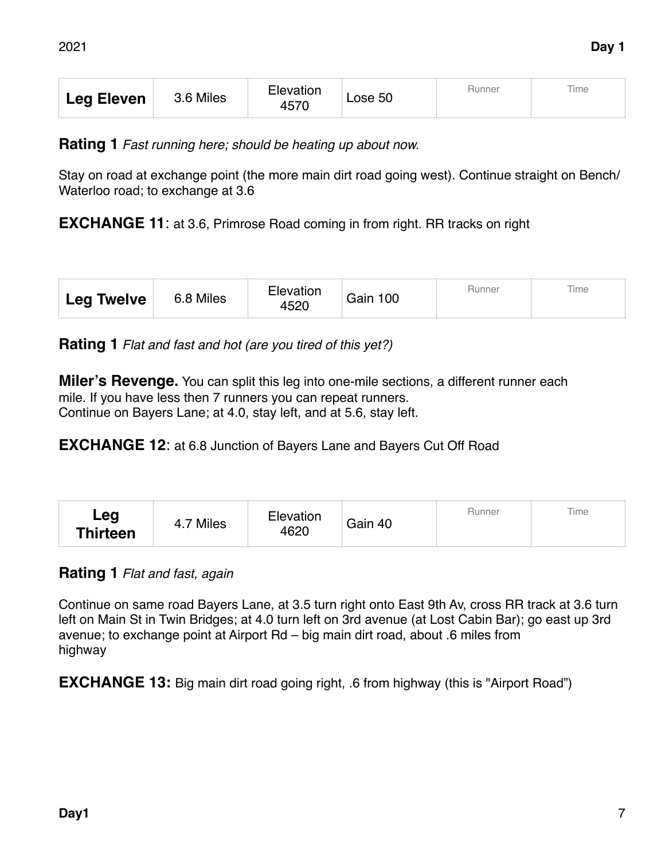| Leg Eleven | 3.6 Miles | Elevation<br>4570 | Lose 50 | Runner | Time |
|------------|-----------|-------------------|---------|--------|------|
|------------|-----------|-------------------|---------|--------|------|

**Rating 1** *Fast running here; should be heating up about now.* 

Stay on road at exchange point (the more main dirt road going west). Continue straight on Bench/ Waterloo road; to exchange at 3.6

**EXCHANGE 11:** at 3.6, Primrose Road coming in from right. RR tracks on right

| <b>Leg Twelve</b> | 6.8 Miles | Elevation<br>4520 | Gain 100 | Runner | l ime |
|-------------------|-----------|-------------------|----------|--------|-------|
|-------------------|-----------|-------------------|----------|--------|-------|

**Rating 1** *Flat and fast and hot (are you tired of this yet?)* 

**Miler's Revenge.** You can split this leg into one-mile sections, a different runner each mile. If you have less then 7 runners you can repeat runners. Continue on Bayers Lane; at 4.0, stay left, and at 5.6, stay left.

**EXCHANGE 12:** at 6.8 Junction of Bayers Lane and Bayers Cut Off Road

| Leg<br>Thirteen | <sup>ㄱ</sup> Miles<br>4.1 | Elevation<br>4620 | Gain 40 | Runner | Time |
|-----------------|---------------------------|-------------------|---------|--------|------|
|-----------------|---------------------------|-------------------|---------|--------|------|

#### **Rating 1** *Flat and fast, again*

Continue on same road Bayers Lane, at 3.5 turn right onto East 9th Av, cross RR track at 3.6 turn left on Main St in Twin Bridges; at 4.0 turn left on 3rd avenue (at Lost Cabin Bar); go east up 3rd avenue; to exchange point at Airport Rd – big main dirt road, about .6 miles from highway

**EXCHANGE 13:** Big main dirt road going right, .6 from highway (this is "Airport Road")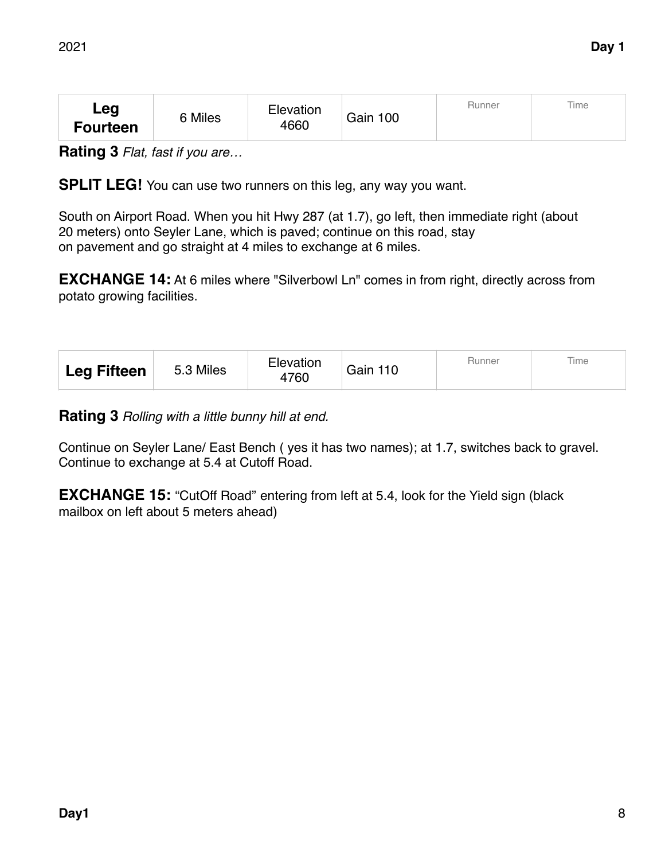| Leg<br><b>Fourteen</b> | 6 Miles | Elevation<br>4660 | Gain 100 | Runner | Time |
|------------------------|---------|-------------------|----------|--------|------|
|------------------------|---------|-------------------|----------|--------|------|

**Rating 3** *Flat, fast if you are…* 

**SPLIT LEG!** You can use two runners on this leg, any way you want.

South on Airport Road. When you hit Hwy 287 (at 1.7), go left, then immediate right (about 20 meters) onto Seyler Lane, which is paved; continue on this road, stay on pavement and go straight at 4 miles to exchange at 6 miles.

**EXCHANGE 14:** At 6 miles where "Silverbowl Ln" comes in from right, directly across from potato growing facilities.

| <b>Leg Fifteen</b> | 5.3 Miles | Elevation<br>4760 | Gain 110 | Hunner | Time |
|--------------------|-----------|-------------------|----------|--------|------|
|--------------------|-----------|-------------------|----------|--------|------|

**Rating 3** *Rolling with a little bunny hill at end.* 

Continue on Seyler Lane/ East Bench ( yes it has two names); at 1.7, switches back to gravel. Continue to exchange at 5.4 at Cutoff Road.

**EXCHANGE 15:** "CutOff Road" entering from left at 5.4, look for the Yield sign (black mailbox on left about 5 meters ahead)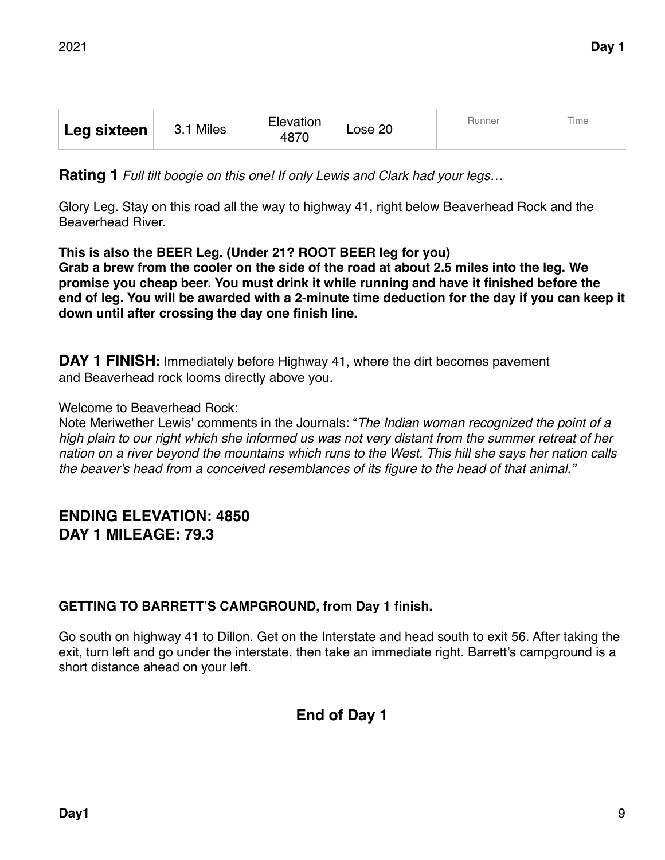| Leg sixteen | 3.1 Miles | Elevation<br>4870 | $\textcolor{blue}{\mathsf{Lose}}$ 20 | Runner | Time |
|-------------|-----------|-------------------|--------------------------------------|--------|------|
|-------------|-----------|-------------------|--------------------------------------|--------|------|

**Rating 1** *Full tilt boogie on this one! If only Lewis and Clark had your legs…* 

Glory Leg. Stay on this road all the way to highway 41, right below Beaverhead Rock and the Beaverhead River.

**This is also the BEER Leg. (Under 21? ROOT BEER leg for you)** 

**Grab a brew from the cooler on the side of the road at about 2.5 miles into the leg. We promise you cheap beer. You must drink it while running and have it finished before the end of leg. You will be awarded with a 2-minute time deduction for the day if you can keep it down until after crossing the day one finish line.** 

**DAY 1 FINISH:** Immediately before Highway 41, where the dirt becomes pavement and Beaverhead rock looms directly above you.

Welcome to Beaverhead Rock:

Note Meriwether Lewis' comments in the Journals: "*The Indian woman recognized the point of a high plain to our right which she informed us was not very distant from the summer retreat of her nation on a river beyond the mountains which runs to the West. This hill she says her nation calls the beaver's head from a conceived resemblances of its figure to the head of that animal."*

## **ENDING ELEVATION: 4850 DAY 1 MILEAGE: 79.3**

#### **GETTING TO BARRETT'S CAMPGROUND, from Day 1 finish.**

Go south on highway 41 to Dillon. Get on the Interstate and head south to exit 56. After taking the exit, turn left and go under the interstate, then take an immediate right. Barrett's campground is a short distance ahead on your left.

## **End of Day 1**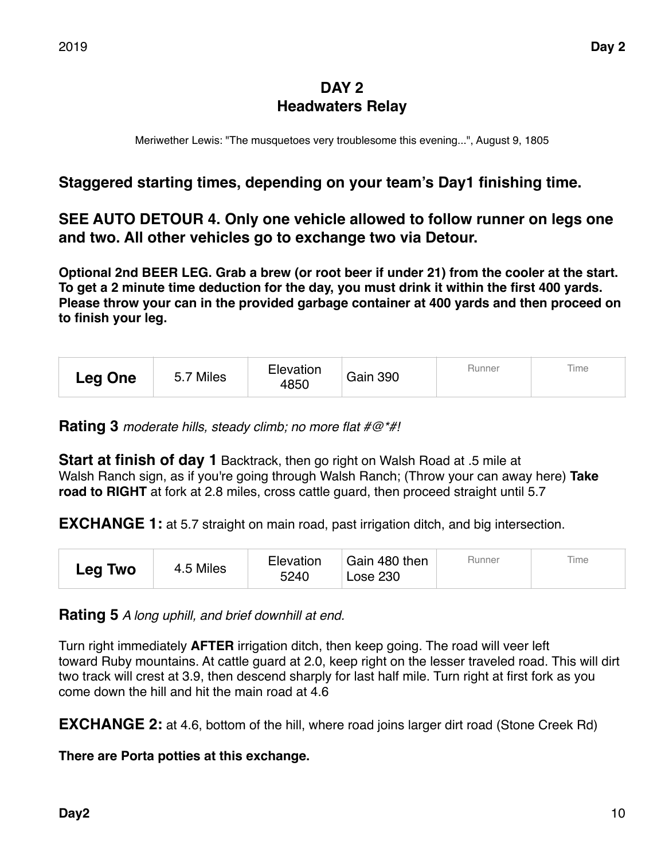## **DAY 2 Headwaters Relay**

Meriwether Lewis: "The musquetoes very troublesome this evening...", August 9, 1805

## **Staggered starting times, depending on your team's Day1 finishing time.**

**SEE AUTO DETOUR 4. Only one vehicle allowed to follow runner on legs one and two. All other vehicles go to exchange two via Detour.**

**Optional 2nd BEER LEG. Grab a brew (or root beer if under 21) from the cooler at the start. To get a 2 minute time deduction for the day, you must drink it within the first 400 yards. Please throw your can in the provided garbage container at 400 yards and then proceed on to finish your leg.** 

**Rating 3** *moderate hills, steady climb; no more flat #@\*#!* 

**Start at finish of day 1** Backtrack, then go right on Walsh Road at .5 mile at Walsh Ranch sign, as if you're going through Walsh Ranch; (Throw your can away here) **Take road to RIGHT** at fork at 2.8 miles, cross cattle guard, then proceed straight until 5.7

**EXCHANGE 1:** at 5.7 straight on main road, past irrigation ditch, and big intersection.

| <b>Leg Two</b> | 4.5 Miles | Elevation<br>5240 | Gain 480 then<br><b>Lose 230</b> | ⊰unner | Time |
|----------------|-----------|-------------------|----------------------------------|--------|------|
|----------------|-----------|-------------------|----------------------------------|--------|------|

**Rating 5** *A long uphill, and brief downhill at end.* 

Turn right immediately **AFTER** irrigation ditch, then keep going. The road will veer left toward Ruby mountains. At cattle guard at 2.0, keep right on the lesser traveled road. This will dirt two track will crest at 3.9, then descend sharply for last half mile. Turn right at first fork as you come down the hill and hit the main road at 4.6

**EXCHANGE 2:** at 4.6, bottom of the hill, where road joins larger dirt road (Stone Creek Rd)

**There are Porta potties at this exchange.**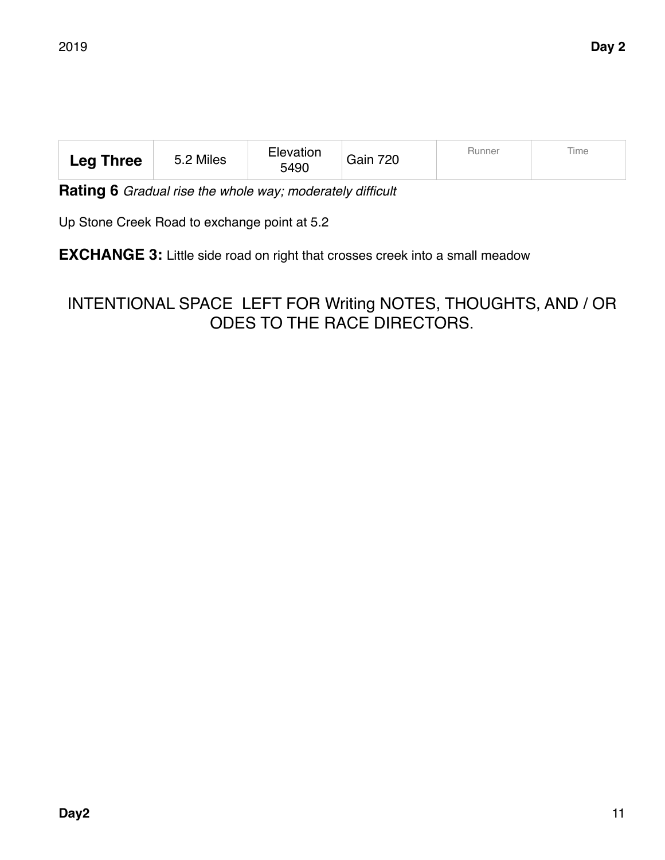| <b>Leg Three</b> | 5.2 Miles | Elevation<br>5490 | Gain 720 | Runner | Time |
|------------------|-----------|-------------------|----------|--------|------|
|------------------|-----------|-------------------|----------|--------|------|

**Rating 6** *Gradual rise the whole way; moderately difficult* 

Up Stone Creek Road to exchange point at 5.2

**EXCHANGE 3:** Little side road on right that crosses creek into a small meadow

# INTENTIONAL SPACE LEFT FOR Writing NOTES, THOUGHTS, AND / OR ODES TO THE RACE DIRECTORS.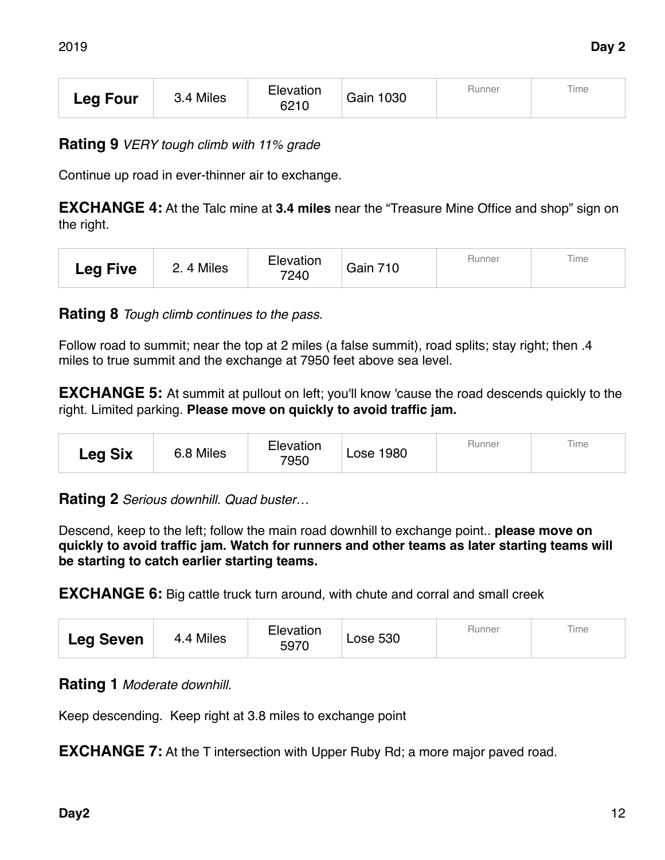| <b>Leg Four</b> | 3.4 Miles | Elevation<br>6210 | <b>Gain 1030</b> | Hunner | Time |
|-----------------|-----------|-------------------|------------------|--------|------|
|-----------------|-----------|-------------------|------------------|--------|------|

**Rating 9** *VERY tough climb with 11% grade* 

Continue up road in ever-thinner air to exchange.

**EXCHANGE 4:** At the Talc mine at **3.4 miles** near the "Treasure Mine Office and shop" sign on the right.

| Time<br>Elevation<br>Runner<br><b>Gain 710</b><br>2.4 Miles<br><b>Leg Five</b><br>7240 |  |
|----------------------------------------------------------------------------------------|--|
|----------------------------------------------------------------------------------------|--|

**Rating 8** *Tough climb continues to the pass.* 

Follow road to summit; near the top at 2 miles (a false summit), road splits; stay right; then .4 miles to true summit and the exchange at 7950 feet above sea level.

**EXCHANGE 5:** At summit at pullout on left; you'll know 'cause the road descends quickly to the right. Limited parking. **Please move on quickly to avoid traffic jam.**

| <b>Leg Six</b> | 6.8 Miles | Elevation<br>7950 | <b>Lose 1980</b> | Runner | Time |
|----------------|-----------|-------------------|------------------|--------|------|
|----------------|-----------|-------------------|------------------|--------|------|

**Rating 2** *Serious downhill. Quad buster…* 

Descend, keep to the left; follow the main road downhill to exchange point.. **please move on quickly to avoid traffic jam. Watch for runners and other teams as later starting teams will be starting to catch earlier starting teams.**

**EXCHANGE 6:** Big cattle truck turn around, with chute and corral and small creek

| <b>Leg Seven</b> | 4.4 Miles | Elevation<br>5970 | <b>Lose 530</b> | ⊀unner | <i>ime</i> |
|------------------|-----------|-------------------|-----------------|--------|------------|
|------------------|-----------|-------------------|-----------------|--------|------------|

**Rating 1** *Moderate downhill.* 

Keep descending. Keep right at 3.8 miles to exchange point

**EXCHANGE 7:** At the T intersection with Upper Ruby Rd; a more major paved road.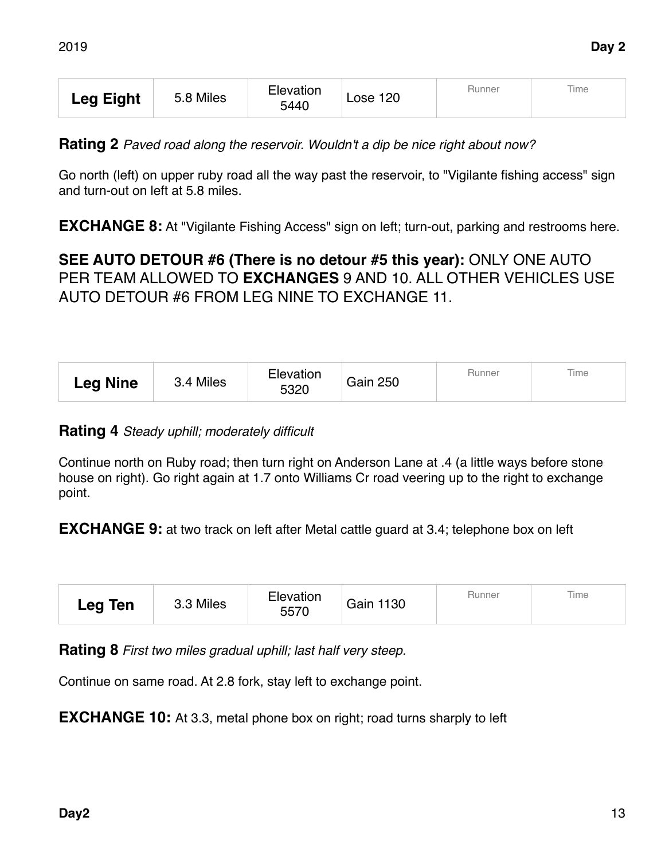| <b>Leg Eight</b> | 5.8 Miles | Elevation<br>5440 | <b>Lose 120</b> | Hunner | Time |
|------------------|-----------|-------------------|-----------------|--------|------|
|------------------|-----------|-------------------|-----------------|--------|------|

**Rating 2** *Paved road along the reservoir. Wouldn't a dip be nice right about now?* 

Go north (left) on upper ruby road all the way past the reservoir, to "Vigilante fishing access" sign and turn-out on left at 5.8 miles.

**EXCHANGE 8:** At "Vigilante Fishing Access" sign on left; turn-out, parking and restrooms here.

## **SEE AUTO DETOUR #6 (There is no detour #5 this year):** ONLY ONE AUTO PER TEAM ALLOWED TO **EXCHANGES** 9 AND 10. ALL OTHER VEHICLES USE AUTO DETOUR #6 FROM LEG NINE TO EXCHANGE 11.

| <b>Leg Nine</b> | 3.4 Miles | Elevation<br>5320 | <b>Gain 250</b> | Hunner | Time |
|-----------------|-----------|-------------------|-----------------|--------|------|
|-----------------|-----------|-------------------|-----------------|--------|------|

#### **Rating 4** *Steady uphill; moderately difficult*

Continue north on Ruby road; then turn right on Anderson Lane at .4 (a little ways before stone house on right). Go right again at 1.7 onto Williams Cr road veering up to the right to exchange point.

**EXCHANGE 9:** at two track on left after Metal cattle guard at 3.4; telephone box on left

| <b>Leg Ten</b> | 3.3 Miles | Elevation<br>5570 | <b>Gain 1130</b> | ⊰unner | Time |
|----------------|-----------|-------------------|------------------|--------|------|
|----------------|-----------|-------------------|------------------|--------|------|

**Rating 8** *First two miles gradual uphill; last half very steep.* 

Continue on same road. At 2.8 fork, stay left to exchange point.

**EXCHANGE 10:** At 3.3, metal phone box on right; road turns sharply to left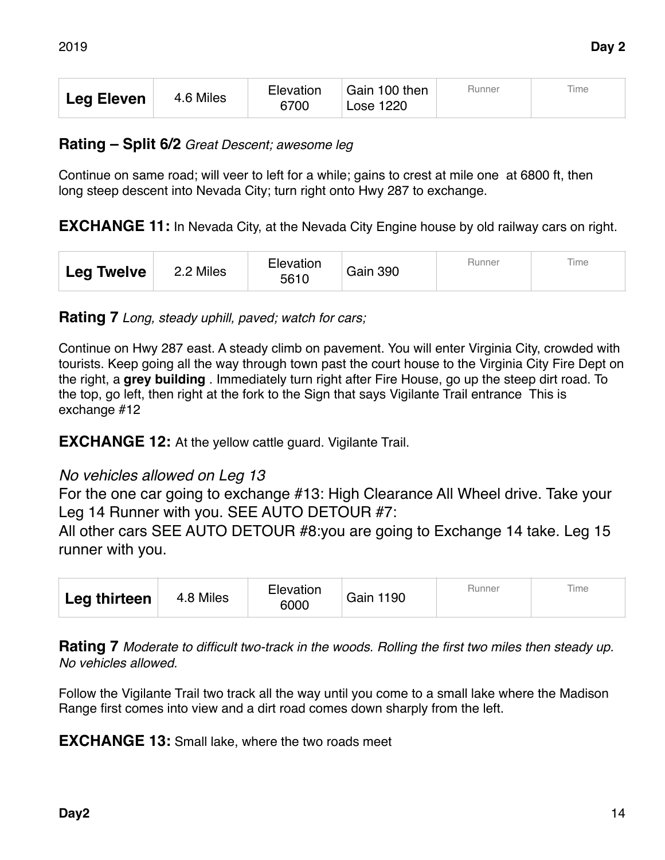| <b>Leg Eleven</b> | 4.6 Miles | Elevation<br>6700 | Gain 100 then<br>Lose 1220 | <b>Hunner</b> | Time |
|-------------------|-----------|-------------------|----------------------------|---------------|------|
|-------------------|-----------|-------------------|----------------------------|---------------|------|

#### **Rating – Split 6/2** *Great Descent; awesome leg*

Continue on same road; will veer to left for a while; gains to crest at mile one at 6800 ft, then long steep descent into Nevada City; turn right onto Hwy 287 to exchange.

**EXCHANGE 11:** In Nevada City, at the Nevada City Engine house by old railway cars on right.

| <b>Leg Twelve</b> | 2.2 Miles | Elevation<br>5610 | <b>Gain 390</b> | ⊰unner | Time |
|-------------------|-----------|-------------------|-----------------|--------|------|
|-------------------|-----------|-------------------|-----------------|--------|------|

## **Rating 7** *Long, steady uphill, paved; watch for cars;*

Continue on Hwy 287 east. A steady climb on pavement. You will enter Virginia City, crowded with tourists. Keep going all the way through town past the court house to the Virginia City Fire Dept on the right, a **grey building** . Immediately turn right after Fire House, go up the steep dirt road. To the top, go left, then right at the fork to the Sign that says Vigilante Trail entrance This is exchange #12

**EXCHANGE 12:** At the yellow cattle quard. Vigilante Trail.

#### *No vehicles allowed on Leg 13*

For the one car going to exchange #13: High Clearance All Wheel drive. Take your Leg 14 Runner with you. SEE AUTO DETOUR #7:

All other cars SEE AUTO DETOUR #8:you are going to Exchange 14 take. Leg 15 runner with you.

| Leg thirteen | 4.8 Miles | Elevation<br>6000 | <b>Gain 1190</b> | Runner | Time |
|--------------|-----------|-------------------|------------------|--------|------|
|--------------|-----------|-------------------|------------------|--------|------|

**Rating 7** *Moderate to difficult two-track in the woods. Rolling the first two miles then steady up. No vehicles allowed.*

Follow the Vigilante Trail two track all the way until you come to a small lake where the Madison Range first comes into view and a dirt road comes down sharply from the left.

#### **EXCHANGE 13:** Small lake, where the two roads meet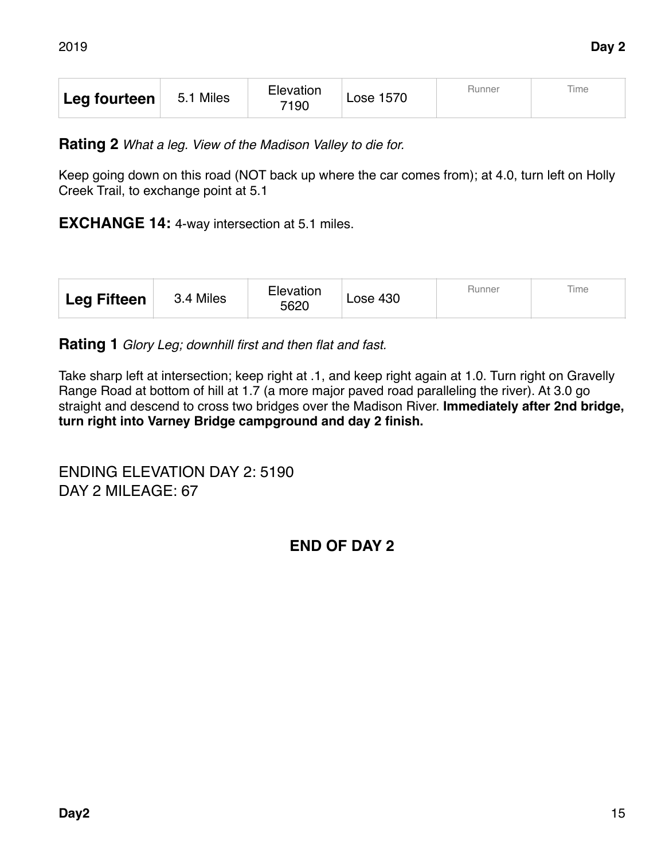| Leg fourteen | 5.1 Miles | Elevation<br>7190 | <b>Lose 1570</b> | Hunner | <b>Time</b> |
|--------------|-----------|-------------------|------------------|--------|-------------|
|--------------|-----------|-------------------|------------------|--------|-------------|

**Rating 2** *What a leg. View of the Madison Valley to die for.* 

Keep going down on this road (NOT back up where the car comes from); at 4.0, turn left on Holly Creek Trail, to exchange point at 5.1

**EXCHANGE 14:** 4-way intersection at 5.1 miles.

| <b>Leg Fifteen</b> | 3.4 Miles | Elevation<br>5620 | <b>Lose 430</b> | ⊣unner | Time |
|--------------------|-----------|-------------------|-----------------|--------|------|
|--------------------|-----------|-------------------|-----------------|--------|------|

**Rating 1** *Glory Leg; downhill first and then flat and fast.*

Take sharp left at intersection; keep right at .1, and keep right again at 1.0. Turn right on Gravelly Range Road at bottom of hill at 1.7 (a more major paved road paralleling the river). At 3.0 go straight and descend to cross two bridges over the Madison River. **Immediately after 2nd bridge, turn right into Varney Bridge campground and day 2 finish.** 

ENDING ELEVATION DAY 2: 5190 DAY 2 MILEAGE: 67

## **END OF DAY 2**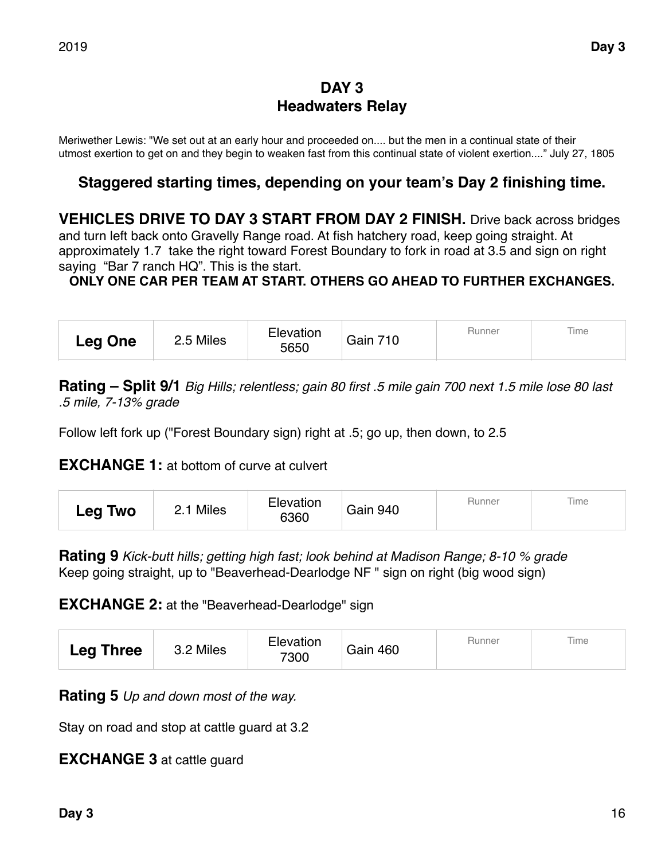# **DAY 3 Headwaters Relay**

Meriwether Lewis: "We set out at an early hour and proceeded on.... but the men in a continual state of their utmost exertion to get on and they begin to weaken fast from this continual state of violent exertion...." July 27, 1805

## **Staggered starting times, depending on your team's Day 2 finishing time.**

**VEHICLES DRIVE TO DAY 3 START FROM DAY 2 FINISH.** Drive back across bridges and turn left back onto Gravelly Range road. At fish hatchery road, keep going straight. At approximately 1.7 take the right toward Forest Boundary to fork in road at 3.5 and sign on right saying "Bar 7 ranch HQ". This is the start.

#### **ONLY ONE CAR PER TEAM AT START. OTHERS GO AHEAD TO FURTHER EXCHANGES.**

| <b>Leg One</b> | 2.5 Miles | Elevation<br>5650 | 710<br>Gain. | Runner | Time |
|----------------|-----------|-------------------|--------------|--------|------|
|----------------|-----------|-------------------|--------------|--------|------|

**Rating – Split 9/1** *Big Hills; relentless; gain 80 first .5 mile gain 700 next 1.5 mile lose 80 last .5 mile, 7-13% grade* 

Follow left fork up ("Forest Boundary sign) right at .5; go up, then down, to 2.5

#### **EXCHANGE 1:** at bottom of curve at culvert

**Rating 9** *Kick-butt hills; getting high fast; look behind at Madison Range; 8-10 % grade*  Keep going straight, up to "Beaverhead-Dearlodge NF " sign on right (big wood sign)

**EXCHANGE 2:** at the "Beaverhead-Dearlodge" sign

| <b>Leg Three</b> | 3.2 Miles | Elevation<br>7300 | Gain 460 | Runner | Time |
|------------------|-----------|-------------------|----------|--------|------|
|------------------|-----------|-------------------|----------|--------|------|

**Rating 5** *Up and down most of the way.* 

Stay on road and stop at cattle guard at 3.2

#### **EXCHANGE 3** at cattle guard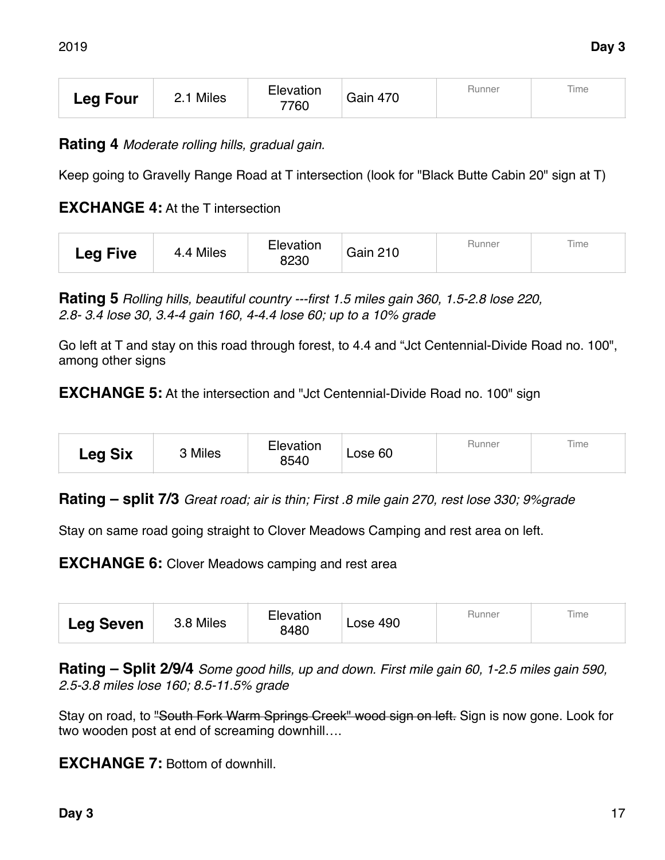| <b>Leg Four</b> | 2.1 Miles | Elevation<br>7760 | Gain 470 | Hunner | Time |
|-----------------|-----------|-------------------|----------|--------|------|
|-----------------|-----------|-------------------|----------|--------|------|

**Rating 4** *Moderate rolling hills, gradual gain.* 

Keep going to Gravelly Range Road at T intersection (look for "Black Butte Cabin 20" sign at T)

### **EXCHANGE 4:** At the T intersection

| <b>Leg Five</b> | 4.4 Miles | Elevation<br>8230 | <b>Gain 210</b> | Hunner | Time |
|-----------------|-----------|-------------------|-----------------|--------|------|
|-----------------|-----------|-------------------|-----------------|--------|------|

**Rating 5** *Rolling hills, beautiful country ---first 1.5 miles gain 360, 1.5-2.8 lose 220, 2.8- 3.4 lose 30, 3.4-4 gain 160, 4-4.4 lose 60; up to a 10% grade* 

Go left at T and stay on this road through forest, to 4.4 and "Jct Centennial-Divide Road no. 100", among other signs

**EXCHANGE 5:** At the intersection and "Jct Centennial-Divide Road no. 100" sign

| <b>Leg Six</b> | 3 Miles | Elevation<br>8540 | Lose 60 | ⊰unner | Time |
|----------------|---------|-------------------|---------|--------|------|
|----------------|---------|-------------------|---------|--------|------|

**Rating – split 7/3** *Great road; air is thin; First .8 mile gain 270, rest lose 330; 9%grade* 

Stay on same road going straight to Clover Meadows Camping and rest area on left.

**EXCHANGE 6:** Clover Meadows camping and rest area

| <b>Leg Seven</b> | 3.8 Miles | Elevation<br>8480 | Lose 490 | Hunner | Time |
|------------------|-----------|-------------------|----------|--------|------|
|------------------|-----------|-------------------|----------|--------|------|

**Rating – Split 2/9/4** *Some good hills, up and down. First mile gain 60, 1-2.5 miles gain 590, 2.5-3.8 miles lose 160; 8.5-11.5% grade* 

Stay on road, to "South Fork Warm Springs Creek" wood sign on left. Sign is now gone. Look for two wooden post at end of screaming downhill….

**EXCHANGE 7:** Bottom of downhill.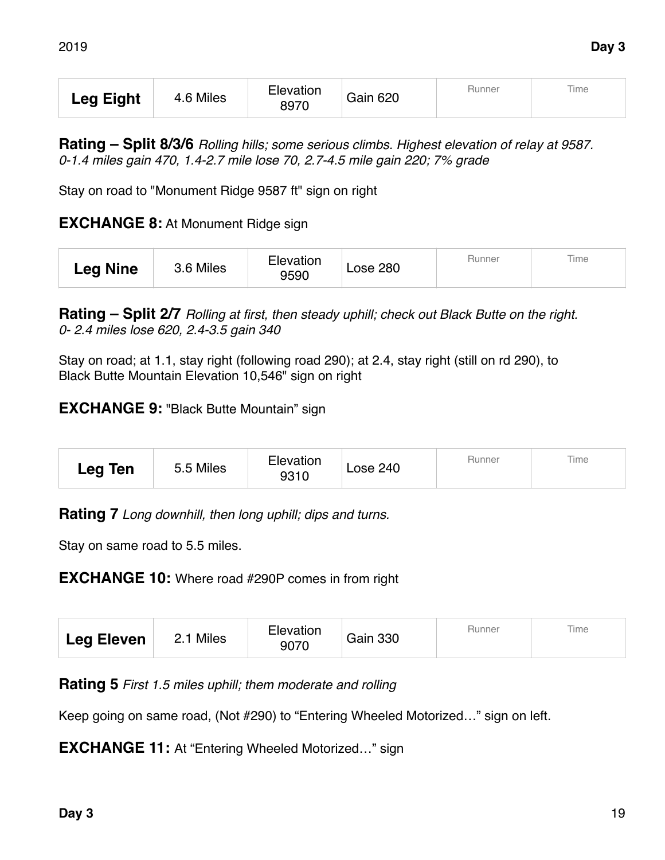| <b>Leg Eight</b> | 4.6 Miles | Elevation<br>8970 | Gain 620 | <b>Hunner</b> | Time |
|------------------|-----------|-------------------|----------|---------------|------|
|------------------|-----------|-------------------|----------|---------------|------|

**Rating – Split 8/3/6** *Rolling hills; some serious climbs. Highest elevation of relay at 9587. 0-1.4 miles gain 470, 1.4-2.7 mile lose 70, 2.7-4.5 mile gain 220; 7% grade* 

Stay on road to "Monument Ridge 9587 ft" sign on right

## **EXCHANGE 8:** At Monument Ridge sign

| <b>Leg Nine</b> | 3.6 Miles | Elevation<br>9590 | <b>Lose 280</b> | {unner | Time |
|-----------------|-----------|-------------------|-----------------|--------|------|
|-----------------|-----------|-------------------|-----------------|--------|------|

**Rating – Split 2/7** *Rolling at first, then steady uphill; check out Black Butte on the right. 0- 2.4 miles lose 620, 2.4-3.5 gain 340* 

Stay on road; at 1.1, stay right (following road 290); at 2.4, stay right (still on rd 290), to Black Butte Mountain Elevation 10,546" sign on right

**EXCHANGE 9:** "Black Butte Mountain" sign

| Leg Ten | 5.5 Miles | Elevation<br>9310 | <b>Lose 240</b> | <b>Runner</b> | Time |
|---------|-----------|-------------------|-----------------|---------------|------|
|---------|-----------|-------------------|-----------------|---------------|------|

**Rating 7** *Long downhill, then long uphill; dips and turns.*

Stay on same road to 5.5 miles.

**EXCHANGE 10:** Where road #290P comes in from right

| <b>Leg Eleven</b> | 2.1 Miles | Elevation<br>9070 | <b>Gain 330</b> | Runner | Time |
|-------------------|-----------|-------------------|-----------------|--------|------|
|-------------------|-----------|-------------------|-----------------|--------|------|

**Rating 5** *First 1.5 miles uphill; them moderate and rolling* 

Keep going on same road, (Not #290) to "Entering Wheeled Motorized…" sign on left.

**EXCHANGE 11:** At "Entering Wheeled Motorized…" sign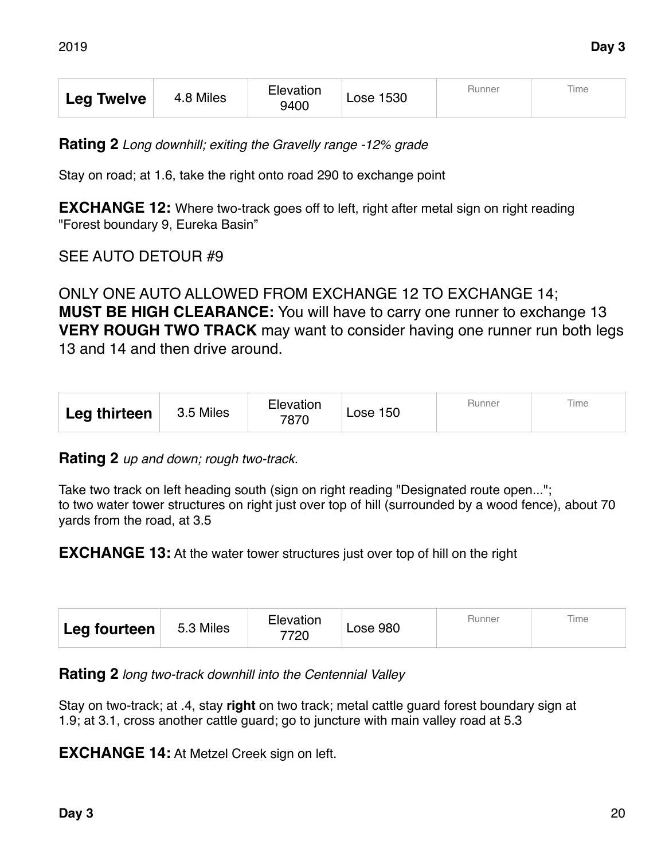| Leg Twelve | 4.8 Miles | Elevation<br>9400 | Lose 1530 | Hunner | Time |
|------------|-----------|-------------------|-----------|--------|------|
|------------|-----------|-------------------|-----------|--------|------|

**Rating 2** *Long downhill; exiting the Gravelly range -12% grade* 

Stay on road; at 1.6, take the right onto road 290 to exchange point

**EXCHANGE 12:** Where two-track goes off to left, right after metal sign on right reading "Forest boundary 9, Eureka Basin"

SEE AUTO DETOUR #9

ONLY ONE AUTO ALLOWED FROM EXCHANGE 12 TO EXCHANGE 14; **MUST BE HIGH CLEARANCE:** You will have to carry one runner to exchange 13 **VERY ROUGH TWO TRACK** may want to consider having one runner run both legs 13 and 14 and then drive around.

| Leg thirteen | 3.5 Miles | Elevation<br>7870 | Lose 150 | Runner | Time |
|--------------|-----------|-------------------|----------|--------|------|
|--------------|-----------|-------------------|----------|--------|------|

**Rating 2** *up and down; rough two-track.* 

Take two track on left heading south (sign on right reading "Designated route open..."; to two water tower structures on right just over top of hill (surrounded by a wood fence), about 70 yards from the road, at 3.5

**EXCHANGE 13:** At the water tower structures just over top of hill on the right

| Leg fourteen | 5.3 Miles | Elevation<br>7720 | Lose 980 | Hunner | Time |
|--------------|-----------|-------------------|----------|--------|------|
|--------------|-----------|-------------------|----------|--------|------|

**Rating 2** *long two-track downhill into the Centennial Valley* 

Stay on two-track; at .4, stay **right** on two track; metal cattle guard forest boundary sign at 1.9; at 3.1, cross another cattle guard; go to juncture with main valley road at 5.3

**EXCHANGE 14:** At Metzel Creek sign on left.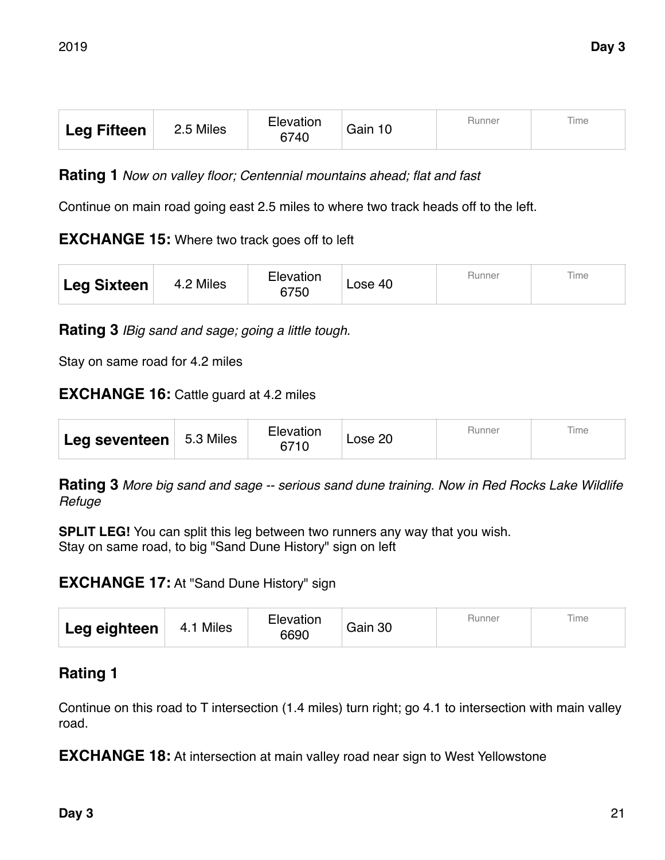| <b>Leg Fifteen</b> | 2.5 Miles | Elevation<br>6740 | Gain 10 | <b>Hunner</b> | Time |
|--------------------|-----------|-------------------|---------|---------------|------|
|--------------------|-----------|-------------------|---------|---------------|------|

**Rating 1** *Now on valley floor; Centennial mountains ahead; flat and fast* 

Continue on main road going east 2.5 miles to where two track heads off to the left.

**EXCHANGE 15:** Where two track goes off to left

| <b>Leg Sixteen</b> | 4.2 Miles | Elevation<br>6750 | Lose 40 | Hunner | Time |
|--------------------|-----------|-------------------|---------|--------|------|
|--------------------|-----------|-------------------|---------|--------|------|

**Rating 3** *IBig sand and sage; going a little tough.* 

Stay on same road for 4.2 miles

**EXCHANGE 16:** Cattle guard at 4.2 miles

| Leg seventeen 3.3 Miles |  | Elevation<br>6710 | Lose 20 | ∃unner | Time |
|-------------------------|--|-------------------|---------|--------|------|
|-------------------------|--|-------------------|---------|--------|------|

**Rating 3** *More big sand and sage -- serious sand dune training. Now in Red Rocks Lake Wildlife Refuge* 

**SPLIT LEG!** You can split this leg between two runners any way that you wish. Stay on same road, to big "Sand Dune History" sign on left

#### **EXCHANGE 17:** At "Sand Dune History" sign

| Leg eighteen | 4.1 Miles | Elevation<br>6690 | Gain 30 | Runner | Time |
|--------------|-----------|-------------------|---------|--------|------|
|--------------|-----------|-------------------|---------|--------|------|

## **Rating 1**

Continue on this road to T intersection (1.4 miles) turn right; go 4.1 to intersection with main valley road.

**EXCHANGE 18:** At intersection at main valley road near sign to West Yellowstone